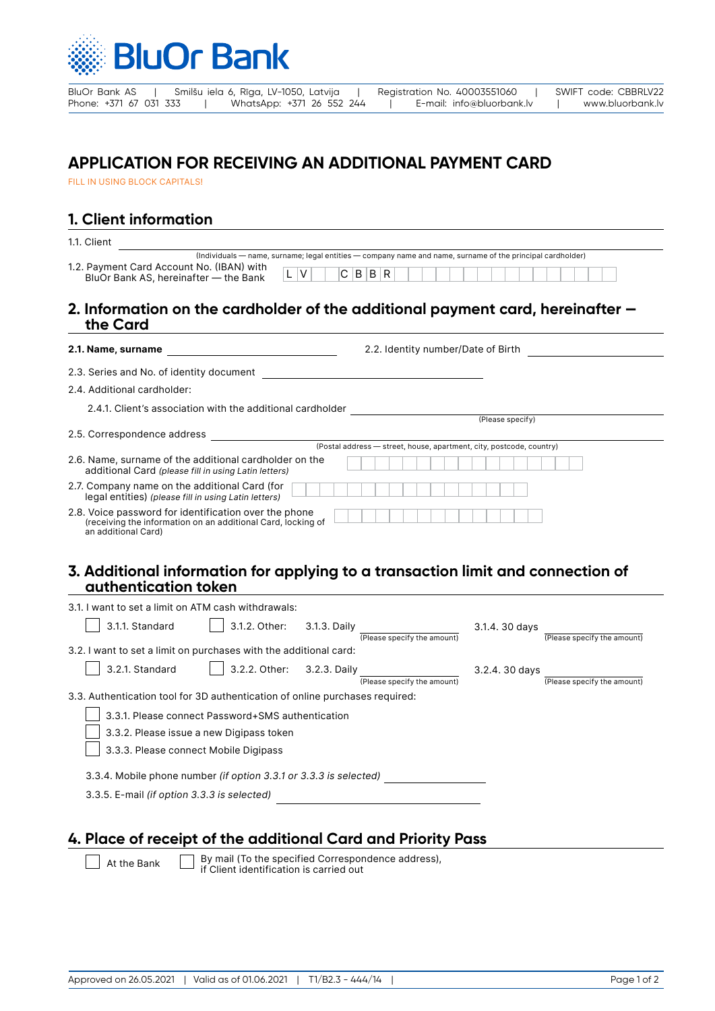

BluOr Bank AS | Smilšu iela 6, Rīga, LV-1050, Latvija | Registration No. 40003551060 | SWIFT code: CBBRLV22<br>Phone: +371 67 031 333 | WhatsApp: +371 26 552 244 | E-mail: info@bluorbank.lv | www.bluorbank.lv Phone: +371 67 031 333 | WhatsApp: +371 26 552 244 | E-mail: info@bluorbank.lv | www.bluorbank.lv

# **APPLICATION FOR RECEIVING AN ADDITIONAL PAYMENT CARD**

FILL IN USING BLOCK CAPITALS!

## **1. Client information**

| 1.1. Client                                                                                                                                  |                                                                                                                       |
|----------------------------------------------------------------------------------------------------------------------------------------------|-----------------------------------------------------------------------------------------------------------------------|
| 1.2. Payment Card Account No. (IBAN) with<br>V<br>BluOr Bank AS, hereinafter - the Bank                                                      | (Individuals - name, surname; legal entities - company name and name, surname of the principal cardholder)<br>C B B R |
| the Card                                                                                                                                     | 2. Information on the cardholder of the additional payment card, hereinafter $-$                                      |
| 2.1. Name, surname                                                                                                                           | 2.2. Identity number/Date of Birth                                                                                    |
| 2.3. Series and No. of identity document                                                                                                     |                                                                                                                       |
| 2.4. Additional cardholder:                                                                                                                  |                                                                                                                       |
| 2.4.1. Client's association with the additional cardholder                                                                                   | (Please specify)                                                                                                      |
| 2.5. Correspondence address                                                                                                                  |                                                                                                                       |
|                                                                                                                                              | (Postal address - street, house, apartment, city, postcode, country)                                                  |
| 2.6. Name, surname of the additional cardholder on the<br>additional Card (please fill in using Latin letters)                               |                                                                                                                       |
| 2.7. Company name on the additional Card (for<br>legal entities) (please fill in using Latin letters)                                        |                                                                                                                       |
| 2.8. Voice password for identification over the phone<br>(receiving the information on an additional Card, locking of<br>an additional Card) |                                                                                                                       |
|                                                                                                                                              |                                                                                                                       |

#### **3. Additional information for applying to a transaction limit and connection of authentication token**

| 3.1. I want to set a limit on ATM cash withdrawals:                          |                                                   |              |                             |                |                             |
|------------------------------------------------------------------------------|---------------------------------------------------|--------------|-----------------------------|----------------|-----------------------------|
| 3.1.1. Standard                                                              | 3.1.2. Other:                                     | 3.1.3. Daily | (Please specify the amount) | 3.1.4. 30 days | (Please specify the amount) |
| 3.2. I want to set a limit on purchases with the additional card:            |                                                   |              |                             |                |                             |
| 3.2.1. Standard                                                              | 3.2.2. Other:                                     | 3.2.3. Daily | (Please specify the amount) | 3.2.4. 30 days | (Please specify the amount) |
| 3.3. Authentication tool for 3D authentication of online purchases required: |                                                   |              |                             |                |                             |
|                                                                              | 3.3.1. Please connect Password+SMS authentication |              |                             |                |                             |
|                                                                              | 3.3.2. Please issue a new Digipass token          |              |                             |                |                             |
| 3.3.3. Please connect Mobile Digipass                                        |                                                   |              |                             |                |                             |
| 3.3.4. Mobile phone number (if option 3.3.1 or 3.3.3 is selected)            |                                                   |              |                             |                |                             |
| 3.3.5. E-mail (if option 3.3.3 is selected)                                  |                                                   |              |                             |                |                             |
|                                                                              |                                                   |              |                             |                |                             |

### **4. Place of receipt of the additional Card and Priority Pass**

At the Bank  $\Box$  By mail (To the specified Correspondence address), if Client identification is carried out